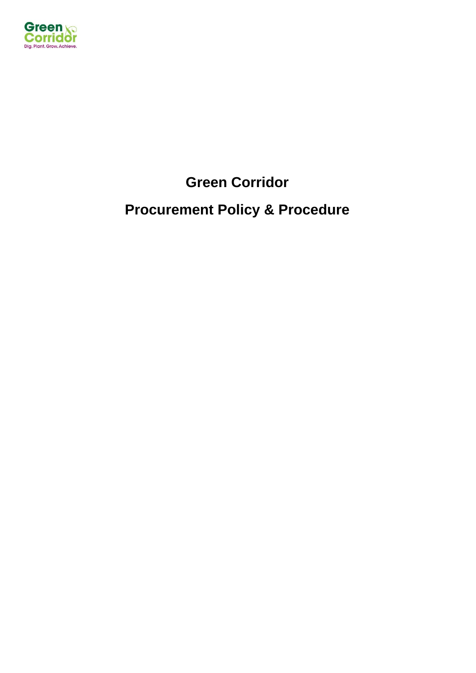

**Green Corridor**

# **Procurement Policy & Procedure**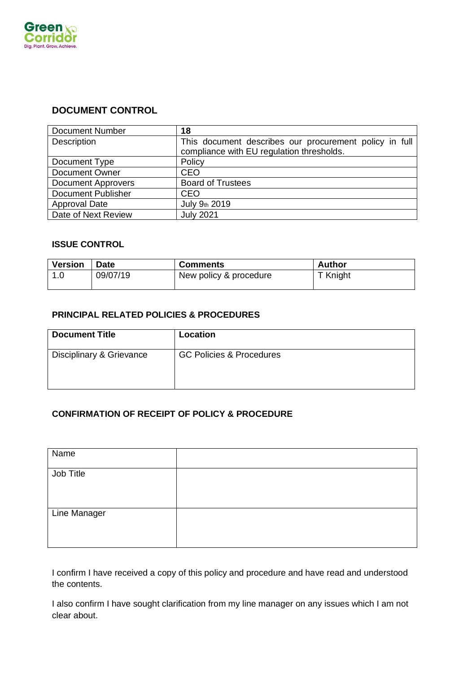

# **DOCUMENT CONTROL**

| <b>Document Number</b>    | 18                                                                                                  |
|---------------------------|-----------------------------------------------------------------------------------------------------|
| Description               | This document describes our procurement policy in full<br>compliance with EU regulation thresholds. |
| Document Type             | Policy                                                                                              |
| <b>Document Owner</b>     | <b>CEO</b>                                                                                          |
| <b>Document Approvers</b> | <b>Board of Trustees</b>                                                                            |
| <b>Document Publisher</b> | <b>CEO</b>                                                                                          |
| <b>Approval Date</b>      | July 9th 2019                                                                                       |
| Date of Next Review       | <b>July 2021</b>                                                                                    |

#### **ISSUE CONTROL**

| <b>Version</b> | <b>Date</b> | <b>Comments</b>        | Author   |
|----------------|-------------|------------------------|----------|
| 1.0            | 09/07/19    | New policy & procedure | T Knight |

# **PRINCIPAL RELATED POLICIES & PROCEDURES**

| <b>Document Title</b>    | Location                            |
|--------------------------|-------------------------------------|
| Disciplinary & Grievance | <b>GC Policies &amp; Procedures</b> |

# **CONFIRMATION OF RECEIPT OF POLICY & PROCEDURE**

| Name         |  |
|--------------|--|
| Job Title    |  |
| Line Manager |  |

I confirm I have received a copy of this policy and procedure and have read and understood the contents.

I also confirm I have sought clarification from my line manager on any issues which I am not clear about.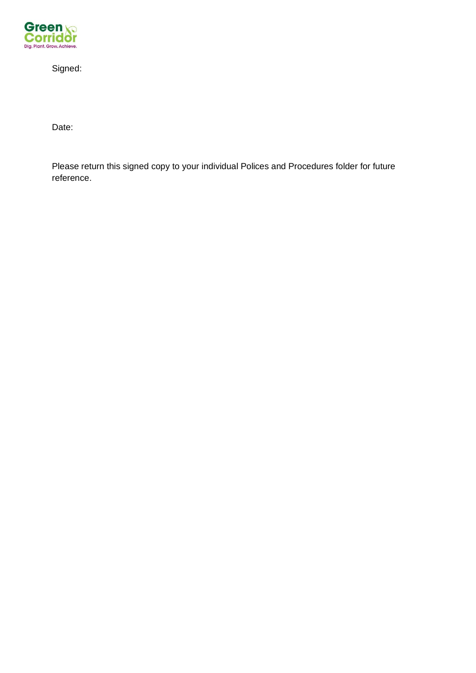

Signed:

Date:

Please return this signed copy to your individual Polices and Procedures folder for future reference.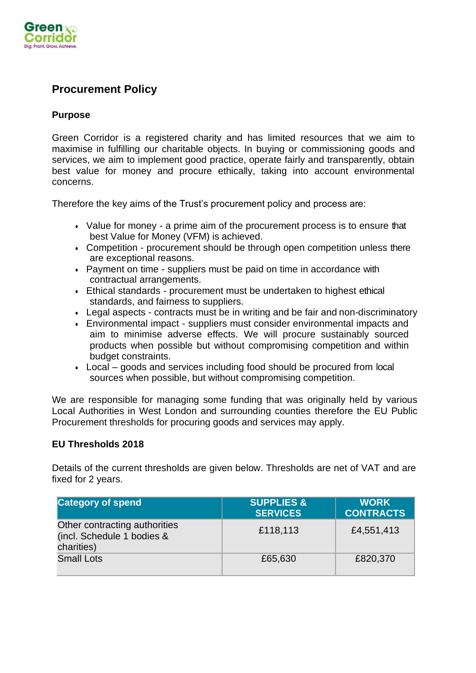

# **Procurement Policy**

# **Purpose**

Green Corridor is a registered charity and has limited resources that we aim to maximise in fulfilling our charitable objects. In buying or commissioning goods and services, we aim to implement good practice, operate fairly and transparently, obtain best value for money and procure ethically, taking into account environmental concerns.

Therefore the key aims of the Trust's procurement policy and process are:

- Value for money a prime aim of the procurement process is to ensure that best Value for Money (VFM) is achieved.
- Competition procurement should be through open competition unless there are exceptional reasons.
- Payment on time suppliers must be paid on time in accordance with contractual arrangements.
- Ethical standards procurement must be undertaken to highest ethical standards, and fairness to suppliers.
- Legal aspects contracts must be in writing and be fair and non-discriminatory
- Environmental impact suppliers must consider environmental impacts and aim to minimise adverse effects. We will procure sustainably sourced products when possible but without compromising competition and within budget constraints.
- Local goods and services including food should be procured from local sources when possible, but without compromising competition.

We are responsible for managing some funding that was originally held by various Local Authorities in West London and surrounding counties therefore the EU Public Procurement thresholds for procuring goods and services may apply.

# **EU Thresholds 2018**

Details of the current thresholds are given below. Thresholds are net of VAT and are fixed for 2 years.

| <b>Category of spend</b>                                                  | <b>SUPPLIES &amp;</b><br><b>SERVICES</b> | <b>WORK</b><br><b>CONTRACTS</b> |
|---------------------------------------------------------------------------|------------------------------------------|---------------------------------|
| Other contracting authorities<br>(incl. Schedule 1 bodies &<br>charities) | £118,113                                 | £4,551,413                      |
| <b>Small Lots</b>                                                         | £65,630                                  | £820,370                        |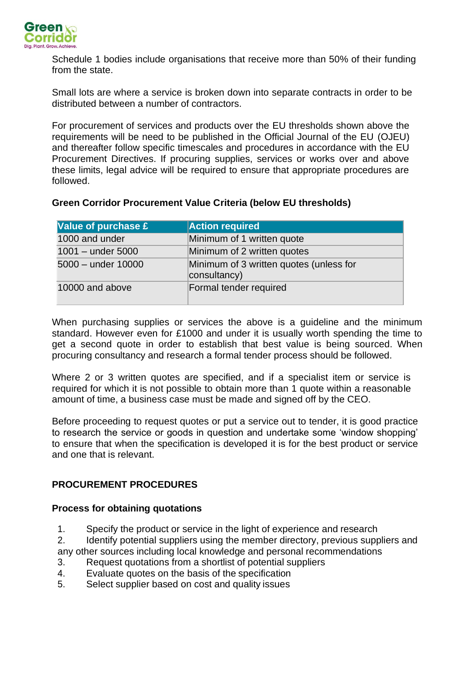

Schedule 1 bodies include organisations that receive more than 50% of their funding from the state.

Small lots are where a service is broken down into separate contracts in order to be distributed between a number of contractors.

For procurement of services and products over the EU thresholds shown above the requirements will be need to be published in the Official Journal of the EU (OJEU) and thereafter follow specific timescales and procedures in accordance with the EU Procurement Directives. If procuring supplies, services or works over and above these limits, legal advice will be required to ensure that appropriate procedures are followed.

# **Green Corridor Procurement Value Criteria (below EU thresholds)**

| Value of purchase £ | <b>Action required</b>                                  |
|---------------------|---------------------------------------------------------|
| 1000 and under      | Minimum of 1 written quote                              |
| $1001 -$ under 5000 | Minimum of 2 written quotes                             |
| 5000 - under 10000  | Minimum of 3 written quotes (unless for<br>consultancy) |
| 10000 and above     | Formal tender required                                  |

When purchasing supplies or services the above is a quideline and the minimum standard. However even for £1000 and under it is usually worth spending the time to get a second quote in order to establish that best value is being sourced. When procuring consultancy and research a formal tender process should be followed.

Where 2 or 3 written quotes are specified, and if a specialist item or service is required for which it is not possible to obtain more than 1 quote within a reasonable amount of time, a business case must be made and signed off by the CEO.

Before proceeding to request quotes or put a service out to tender, it is good practice to research the service or goods in question and undertake some 'window shopping' to ensure that when the specification is developed it is for the best product or service and one that is relevant.

# **PROCUREMENT PROCEDURES**

# **Process for obtaining quotations**

1. Specify the product or service in the light of experience and research

2. Identify potential suppliers using the member directory, previous suppliers and any other sources including local knowledge and personal recommendations

- 3. Request quotations from a shortlist of potential suppliers
- 4. Evaluate quotes on the basis of the specification
- 5. Select supplier based on cost and quality issues